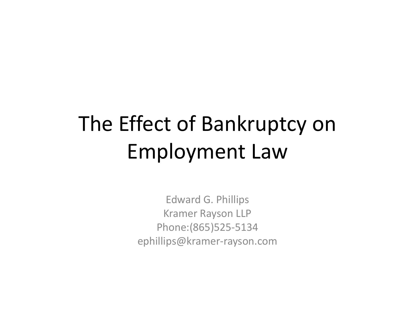# The Effect of Bankruptcy on Employment Law

Edward G. Phillips Kramer Rayson LLP Phone:(865)525‐5134 ephillips@kramer‐rayson.com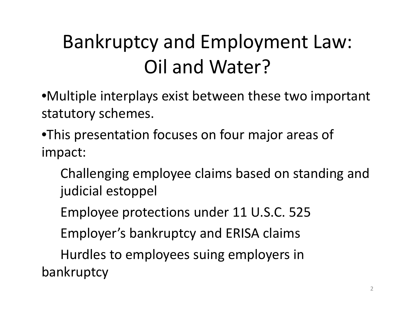### Bankruptcy and Employment Law: Oil and Water?

•Multiple interplays exist between these two important statutory schemes.

- •This presentation focuses on four major areas of impact:
	- Challenging employee claims based on standing and judicial estoppel
	- Employee protections under 11 U.S.C. 525
	- Employer's bankruptcy and ERISA claims

Hurdles to employees suing employers in bankruptcy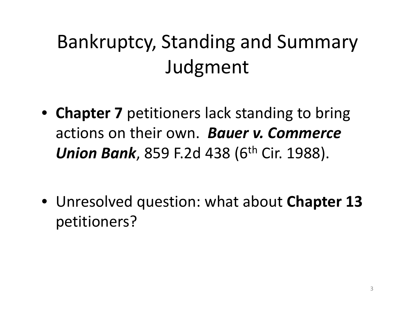### Bankruptcy, Standing and Summary Judgment

- **Chapter 7** petitioners lack standing to bring actions on their own. *Bauer v. Commerce Union Bank*, 859 F.2d 438 (6th Cir. 1988).
- Unresolved question: what about **Chapter 13** petitioners?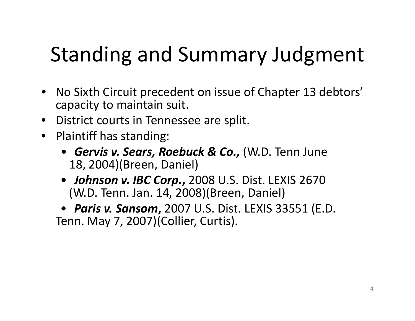# Standing and Summary Judgment

- No Sixth Circuit precedent on issue of Chapter 13 debtors' capacity to maintain suit.
- District courts in Tennessee are split.
- Plaintiff has standing:
	- *• Gervis v. Sears, Roebuck & Co.,* (W.D. Tenn June 18, 2004)(Breen, Daniel)
	- *Johnson v. IBC Corp.***,** 2008 U.S. Dist. LEXIS 2670 (W.D. Tenn. Jan. 14, 2008)(Breen, Daniel)

*• Paris v. Sansom***,** 2007 U.S. Dist. LEXIS 33551 (E.D. Tenn. May 7, 2007)(Collier, Curtis).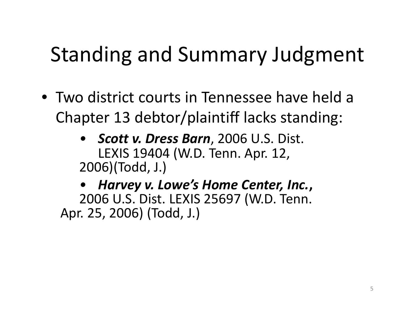## Standing and Summary Judgment

- Two district courts in Tennessee have held <sup>a</sup> Chapter 13 debtor/plaintiff lacks standing:
	- *• Scott v. Dress Barn*, 2006 U.S. Dist. LEXIS 19404 (W.D. Tenn. Apr. 12, 2006)(Todd, J.)

*• Harvey v. Lowe's Home Center, Inc.***,** 2006 U.S. Dist. LEXIS 25697 (W.D. Tenn. Apr. 25, 2006) (Todd, J.)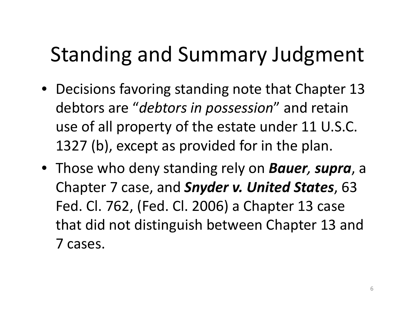# Standing and Summary Judgment

- Decisions favoring standing note that Chapter 13 debtors are "*debtors in possession*" and retain use of all property of the estate under 11 U.S.C. 1327 (b), except as provided for in the plan.
- Those who deny standing rely on *Bauer, supra*, <sup>a</sup> Chapter 7 case, and *Snyder v. United States*, 63 Fed. Cl. 762, (Fed. Cl. 2006) <sup>a</sup> Chapter 13 case that did not distinguish between Chapter 13 and 7 cases.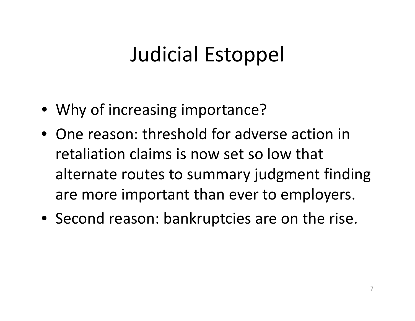### Judicial Estoppel

- Why of increasing importance?
- One reason: threshold for adverse action in retaliation claims is now set so low that alternate routes to summary judgment finding are more important than ever to employers.
- Second reason: bankruptcies are on the rise.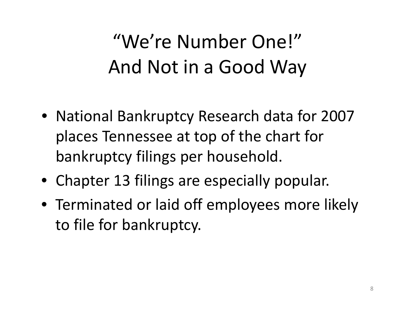## "We're Number One!" And Not in <sup>a</sup> Good Way

- National Bankruptcy Research data for 2007 places Tennessee at top of the chart for bankruptcy filings per household.
- Chapter 13 filings are especially popular.
- Terminated or laid off employees more likely to file for bankruptcy.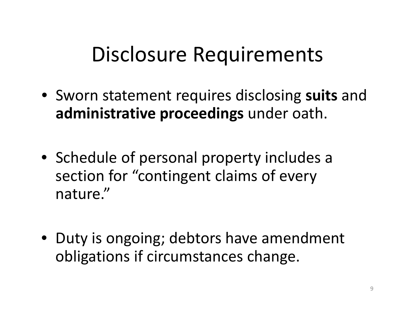### Disclosure Requirements

- Sworn statement requires disclosing **suits** and **administrative proceedings** under oath.
- Schedule of personal property includes <sup>a</sup> section for "contingent claims of every nature."
- Duty is ongoing; debtors have amendment obligations if circumstances change.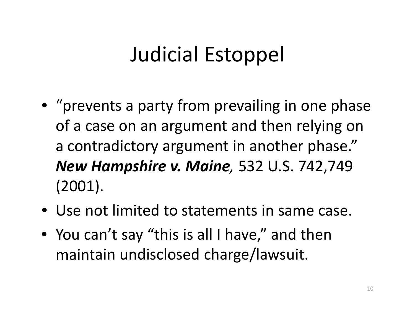## Judicial Estoppel

- "prevents <sup>a</sup> party from prevailing in one phase of a case on an argument and then relying on a contradictory argument in another phase." *New Hampshire v. Maine,* 532 U.S. 742,749 (2001).
- Use not limited to statements in same case.
- You can't say "this is all I have," and then maintain undisclosed charge/lawsuit.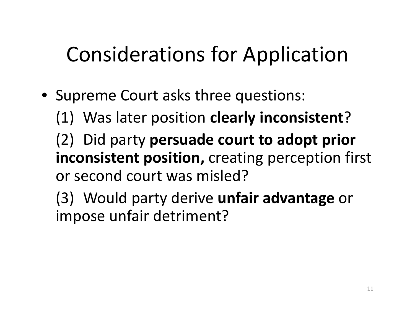# Considerations for Application

• Supreme Court asks three questions:

(1) Was later position **clearly inconsistent**?

(2) Did party **persuade court to adopt prior inconsistent position,** creating perception first or second court was misled?

(3) Would party derive **unfair advantage** or impose unfair detriment?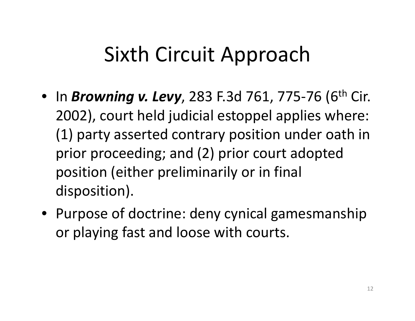### Sixth Circuit Approach

- In *Browning v. Levy*, <sup>283</sup> F.3d 761, <sup>775</sup>‐<sup>76</sup> (6th Cir. 2002), court held judicial estoppel applies where: (1) party asserted contrary position under oath in prior proceeding; and (2) prior court adopted position (either preliminarily or in final disposition).
- Purpose of doctrine: deny cynical gamesmanship or playing fast and loose with courts.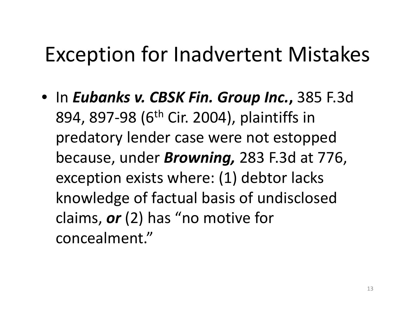### Exception for Inadvertent Mistakes

• In *Eubanks v. CBSK Fin. Group Inc.***,** 385 F.3d 894, 897-98 (6<sup>th</sup> Cir. 2004), plaintiffs in predatory lender case were not estopped because, under *Browning,* 283 F.3d at 776, exception exists where: (1) debtor lacks knowledge of factual basis of undisclosed claims, *or* (2) has "no motive for concealment."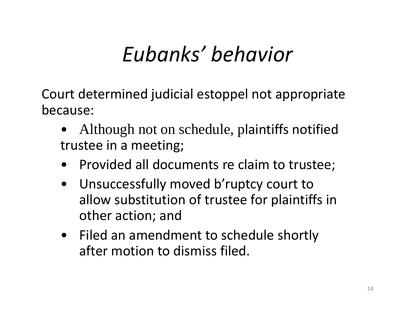# *Eubanks' behavior*

Court determined judicial estoppel not appropriate because:

- • Although not on schedule, plaintiffs notified trustee in <sup>a</sup> meeting;
- •Provided all documents re claim to trustee;
- $\bullet$  Unsuccessfully moved b'ruptcy court to allow substitution of trustee for plaintiffs in other action; and
- Filed an amendment to schedule shortly after motion to dismiss filed.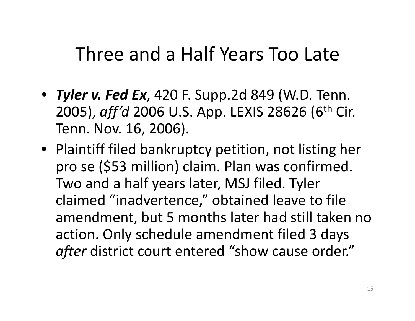### Three and <sup>a</sup> Half Years Too Late

- *Tyler v. Fed Ex*, 420 F. Supp.2d 849 (W.D. Tenn. 2005), *aff'd* <sup>2006</sup> U.S. App. LEXIS <sup>28626</sup> (6th Cir. Tenn. Nov. 16, 2006).
- Plaintiff filed bankruptcy petition, not listing her pro se (\$53 million) claim. Plan was confirmed. Two and <sup>a</sup> half years later, MSJ filed. Tyler claimed "inadvertence," obtained leave to file amendment, but 5 months later had still taken no action. Only schedule amendment filed 3 days *after* district court entered "show cause order."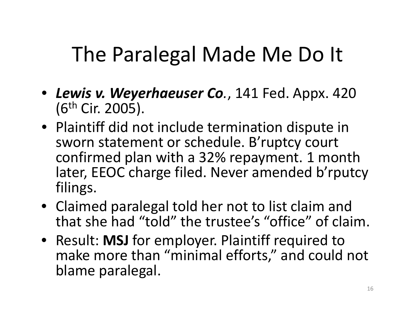### The Paralegal Made Me Do It

- *Lewis v. Weyerhaeuser Co.*, 141 Fed. Appx. 420 (6th Cir. 2005).
- Plaintiff did not include termination dispute in sworn statement or schedule. B'ruptcy court confirmed plan with <sup>a</sup> 32% repayment. 1 month later, EEOC charge filed. Never amended b'rputcy filings.
- Claimed paralegal told her not to list claim and that she had "told" the trustee's "office" of claim.
- Result: **MSJ** for employer. Plaintiff required to make more than "minimal efforts," and could not blame paralegal.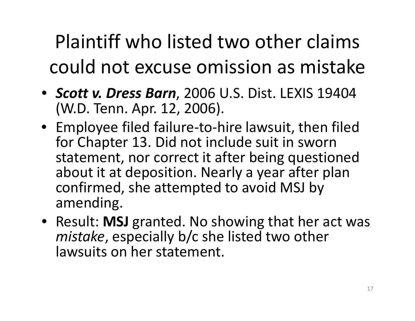Plaintiff who listed two other claims could not excuse omission as mistake

- *Scott v. Dress Barn*, 2006 U.S. Dist. LEXIS 19404 (W.D. Tenn. Apr. 12, 2006).
- Employee filed failure‐to‐hire lawsuit, then filed for Chapter 13. Did not include suit in sworn statement, nor correct it after being questioned about it at deposition. Nearly <sup>a</sup> year after plan confirmed, she attempted to avoid MSJ by amending.
- Result: **MSJ** granted. No showing that her act was *mistake*, especially b/c she listed two other lawsuits on her statement.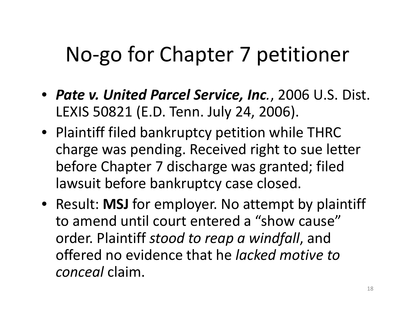### No‐go for Chapter 7 petitioner

- *Pate v. United Parcel Service, Inc.*, 2006 U.S. Dist. LEXIS 50821 (E.D. Tenn. July 24, 2006).
- Plaintiff filed bankruptcy petition while THRC charge was pending. Received right to sue letter before Chapter 7 discharge was granted; filed lawsuit before bankruptcy case closed.
- Result: **MSJ** for employer. No attempt by plaintiff to amend until court entered <sup>a</sup> "show cause" order. Plaintiff *stood to reap <sup>a</sup> windfall*, and offered no evidence that he *lacked motive to conceal* claim.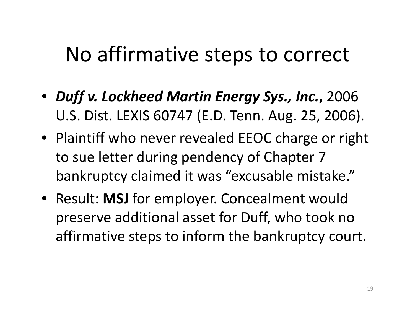### No affirmative steps to correct

- *Duff v. Lockheed Martin Energy Sys., Inc.***,** 2006 U.S. Dist. LEXIS 60747 (E.D. Tenn. Aug. 25, 2006).
- Plaintiff who never revealed EEOC charge or right to sue letter during pendency of Chapter 7 bankruptcy claimed it was "excusable mistake."
- Result: **MSJ** for employer. Concealment would preserve additional asset for Duff, who took no affirmative steps to inform the bankruptcy court.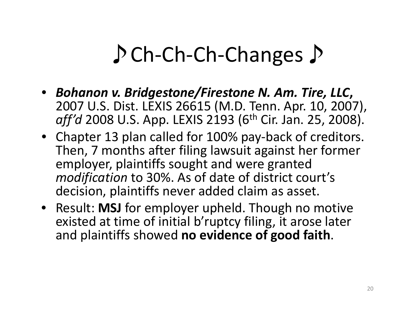# ♪Ch‐Ch‐Ch‐Changes♪

- *Bohanon v. Bridgestone/Firestone N. Am. Tire, LLC***,** 2007 U.S. Dist. LEXIS 26615 (M.D. Tenn. Apr. 10, 2007), *aff'd* 2008 U.S. App. LEXIS 2193 (6<sup>th</sup> Cir. Jan. 25, 2008).
- Chapter 13 plan called for 100% pay‐back of creditors. Then, 7 months after filing lawsuit against her former employer, plaintiffs sought and were granted *modification* to 30%. As of date of district court's decision, plaintiffs never added claim as asset.
- Result: **MSJ** for employer upheld. Though no motive existed at time of initial b'ruptcy filing, it arose later and plaintiffs showed **no evidence of good faith**.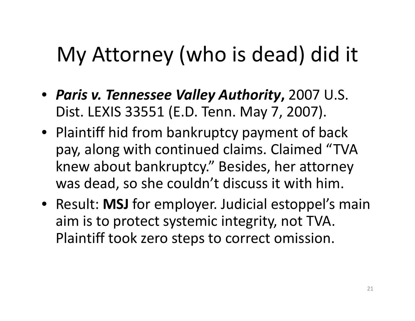# My Attorney (who is dead) did it

- *Paris v. Tennessee Valley Authority***,** 2007 U.S. Dist. LEXIS 33551 (E.D. Tenn. May 7, 2007).
- Plaintiff hid from bankruptcy payment of back pay, along with continued claims. Claimed "TVA knew about bankruptcy." Besides, her attorney was dead, so she couldn't discuss it with him.
- Result: **MSJ** for employer. Judicial estoppel's main aim is to protect systemic integrity, not TVA. Plaintiff took zero steps to correct omission.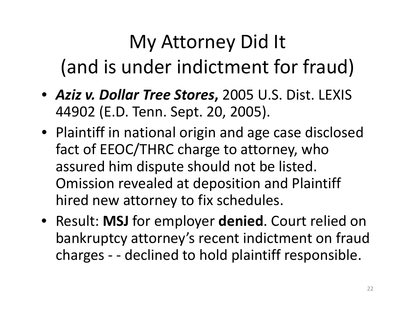### My Attorney Did It (and is under indictment for fraud)

- *Aziz v. Dollar Tree Stores***,** 2005 U.S. Dist. LEXIS 44902 (E.D. Tenn. Sept. 20, 2005).
- Plaintiff in national origin and age case disclosed fact of EEOC/THRC charge to attorney, who assured him dispute should not be listed. Omission revealed at deposition and Plaintiff hired new attorney to fix schedules.
- Result: **MSJ** for employer **denied**. Court relied on bankruptcy attorney's recent indictment on fraud charges ‐ ‐ declined to hold plaintiff responsible.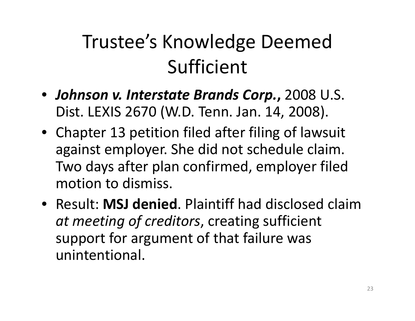### Trustee's Knowledge Deemed Sufficient

- *Johnson v. Interstate Brands Corp.***,** 2008 U.S. Dist. LEXIS 2670 (W.D. Tenn. Jan. 14, 2008).
- Chapter 13 petition filed after filing of lawsuit against employer. She did not schedule claim. Two days after plan confirmed, employer filed motion to dismiss.
- Result: **MSJ denied**. Plaintiff had disclosed claim*at meeting of creditors*, creating sufficient support for argument of that failure was unintentional.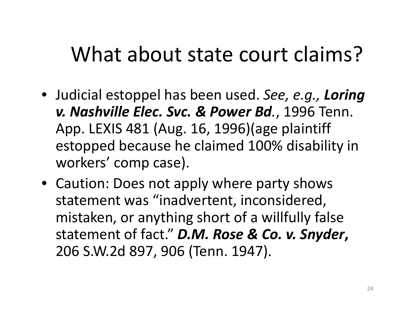### What about state court claims?

- Judicial estoppel has been used. *See, e.g., Loring v. Nashville Elec. Svc. & Power Bd.*, 1996 Tenn. App. LEXIS 481 (Aug. 16, 1996)(age plaintiff estopped because he claimed 100% disability in workers' comp case).
- Caution: Does not apply where party shows statement was "inadvertent, inconsidered, mistaken, or anything short of <sup>a</sup> willfully false statement of fact." *D.M. Rose & Co. v. Snyder***,** 206 S.W.2d 897, 906 (Tenn. 1947).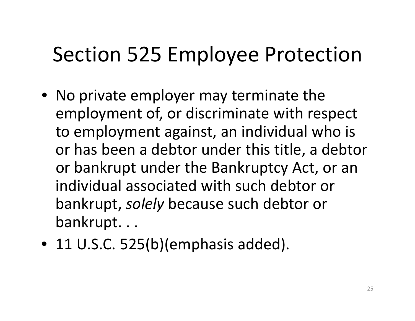### Section 525 Employee Protection

- No private employer may terminate the employment of, or discriminate with respect to employment against, an individual who is or has been <sup>a</sup> debtor under this title, <sup>a</sup> debtor or bankrupt under the Bankruptcy Act, or an individual associated with such debtor or bankrupt, *solely* because such debtor or bankrupt. . .
- 11 U.S.C. 525(b)(emphasis added).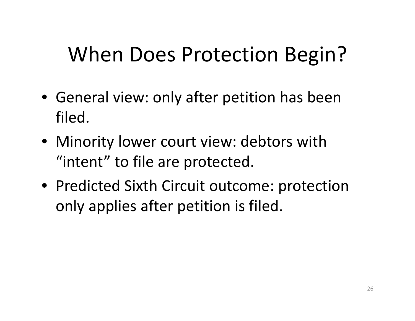## When Does Protection Begin?

- General view: only after petition has been filed.
- Minority lower court view: debtors with "intent" to file are protected.
- Predicted Sixth Circuit outcome: protection only applies after petition is filed.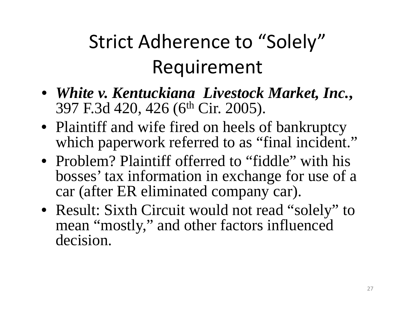# Strict Adherence to "Solely" Requirement

- *White v. Kentuckiana Livestock Market, Inc.***,**  397 F.3d 420, 426 (6th Cir. 2005).
- Plaintiff and wife fired on heels of bankruptcy which paperwork referred to as "final incident."
- Problem? Plaintiff offerred to "fiddle" with his bosses' tax information in exchange for use of a car (after ER eliminated company car).
- Result: Sixth Circuit would not read "solely" to mean "mostly," and other factors influenced decision.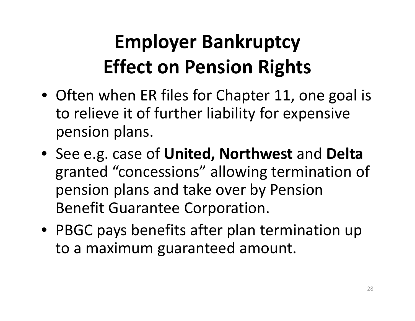## **Employer Bankruptcy Effect on Pension Rights**

- Often when ER files for Chapter 11, one goal is to relieve it of further liability for expensive pension plans.
- See e.g. case of **United, Northwest** and **Delta** granted "concessions" allowing termination of pension plans and take over by Pension Benefit Guarantee Corporation.
- PBGC pays benefits after plan termination up to a maximum guaranteed amount.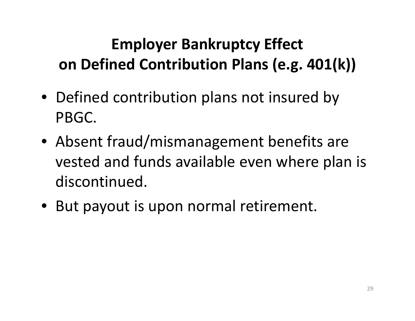#### **Employer Bankruptcy Effect on Defined Contribution Plans (e.g. 401(k))**

- Defined contribution plans not insured by PBGC.
- Absent fraud/mismanagement benefits are vested and funds available even where plan is discontinued.
- But payout is upon normal retirement.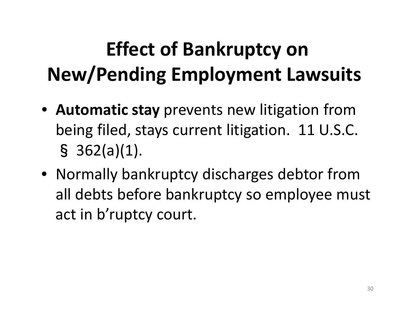# **Effect of Bankruptcy on New/Pending Employment Lawsuits**

- **Automatic stay** prevents new litigation from being filed, stays current litigation. 11 U.S.C. § 362(a)(1).
- Normally bankruptcy discharges debtor from all debts before bankruptcy so employee must act in b'ruptcy court.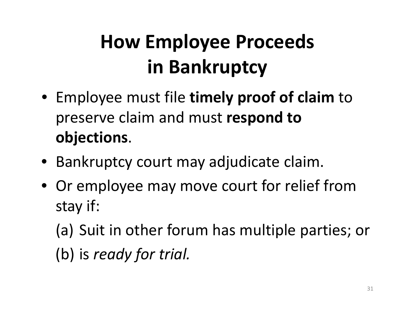## **How Employee Proceeds in Bankruptcy**

- Employee must file **timely proof of claim** to preserve claim and must **respond to objections**.
- Bankruptcy court may adjudicate claim.
- Or employee may move court for relief from stay if:
	- (a) Suit in other forum has multiple parties; or

(b) is *ready for trial.*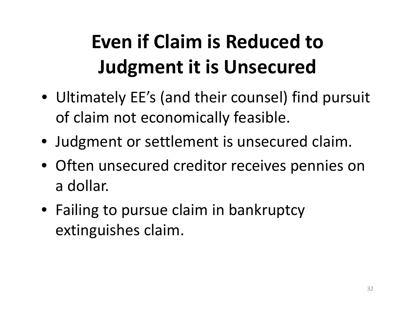# **Even if Claim is Reduced to Judgment it is Unsecured**

- Ultimately EE's (and their counsel) find pursuit of claim not economically feasible.
- Judgment or settlement is unsecured claim.
- Often unsecured creditor receives pennies on a dollar.
- Failing to pursue claim in bankruptcy extinguishes claim.